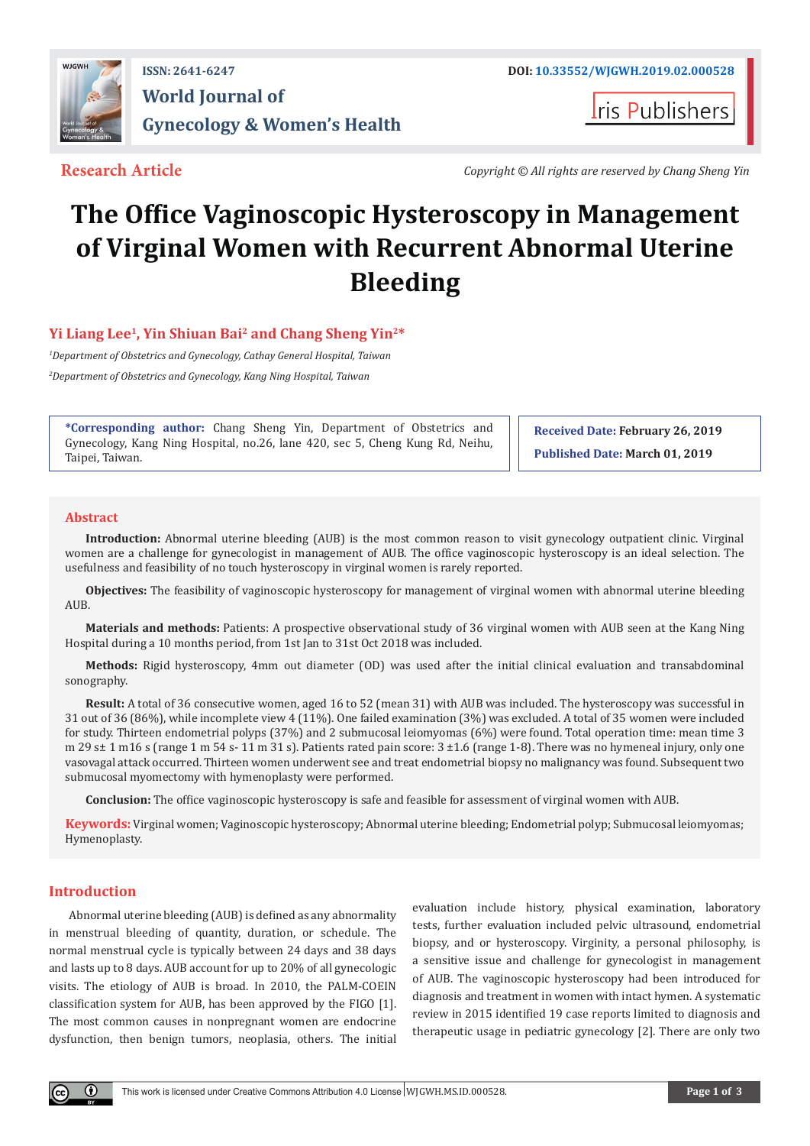

## **ISSN: 2641-6247 DOI: [10.33552/WJGWH.2019.02.000528](http://dx.doi.org/10.33552/WJGWH.2019.02.000528) World Journal of Gynecology & Women's Health**

**Iris Publishers** 

**Research Article** *Copyright © All rights are reserved by Chang Sheng Yin*

# **The Office Vaginoscopic Hysteroscopy in Management of Virginal Women with Recurrent Abnormal Uterine Bleeding**

### **Yi Liang Lee<sup>1</sup>, Yin Shiuan Bai<sup>2</sup> and Chang Sheng Yin2\***

*1 Department of Obstetrics and Gynecology, Cathay General Hospital, Taiwan 2 Department of Obstetrics and Gynecology, Kang Ning Hospital, Taiwan*

**\*Corresponding author:** Chang Sheng Yin, Department of Obstetrics and Gynecology, Kang Ning Hospital, no.26, lane 420, sec 5, Cheng Kung Rd, Neihu, Taipei, Taiwan.

**Received Date: February 26, 2019 Published Date: March 01, 2019**

#### **Abstract**

**Introduction:** Abnormal uterine bleeding (AUB) is the most common reason to visit gynecology outpatient clinic. Virginal women are a challenge for gynecologist in management of AUB. The office vaginoscopic hysteroscopy is an ideal selection. The usefulness and feasibility of no touch hysteroscopy in virginal women is rarely reported.

**Objectives:** The feasibility of vaginoscopic hysteroscopy for management of virginal women with abnormal uterine bleeding AUB.

**Materials and methods:** Patients: A prospective observational study of 36 virginal women with AUB seen at the Kang Ning Hospital during a 10 months period, from 1st Jan to 31st Oct 2018 was included.

**Methods:** Rigid hysteroscopy, 4mm out diameter (OD) was used after the initial clinical evaluation and transabdominal sonography.

**Result:** A total of 36 consecutive women, aged 16 to 52 (mean 31) with AUB was included. The hysteroscopy was successful in 31 out of 36 (86%), while incomplete view 4 (11%). One failed examination (3%) was excluded. A total of 35 women were included for study. Thirteen endometrial polyps (37%) and 2 submucosal leiomyomas (6%) were found. Total operation time: mean time 3 m 29 s $\pm$  1 m16 s (range 1 m 54 s- 11 m 31 s). Patients rated pain score:  $3 \pm 1.6$  (range 1-8). There was no hymeneal injury, only one vasovagal attack occurred. Thirteen women underwent see and treat endometrial biopsy no malignancy was found. Subsequent two submucosal myomectomy with hymenoplasty were performed.

**Conclusion:** The office vaginoscopic hysteroscopy is safe and feasible for assessment of virginal women with AUB.

**Keywords:** Virginal women; Vaginoscopic hysteroscopy; Abnormal uterine bleeding; Endometrial polyp; Submucosal leiomyomas; Hymenoplasty.

#### **Introduction**

Abnormal uterine bleeding (AUB) is defined as any abnormality in menstrual bleeding of quantity, duration, or schedule. The normal menstrual cycle is typically between 24 days and 38 days and lasts up to 8 days. AUB account for up to 20% of all gynecologic visits. The etiology of AUB is broad. In 2010, the PALM-COEIN classification system for AUB, has been approved by the FIGO [1]. The most common causes in nonpregnant women are endocrine dysfunction, then benign tumors, neoplasia, others. The initial

evaluation include history, physical examination, laboratory tests, further evaluation included pelvic ultrasound, endometrial biopsy, and or hysteroscopy. Virginity, a personal philosophy, is a sensitive issue and challenge for gynecologist in management of AUB. The vaginoscopic hysteroscopy had been introduced for diagnosis and treatment in women with intact hymen. A systematic review in 2015 identified 19 case reports limited to diagnosis and therapeutic usage in pediatric gynecology [2]. There are only two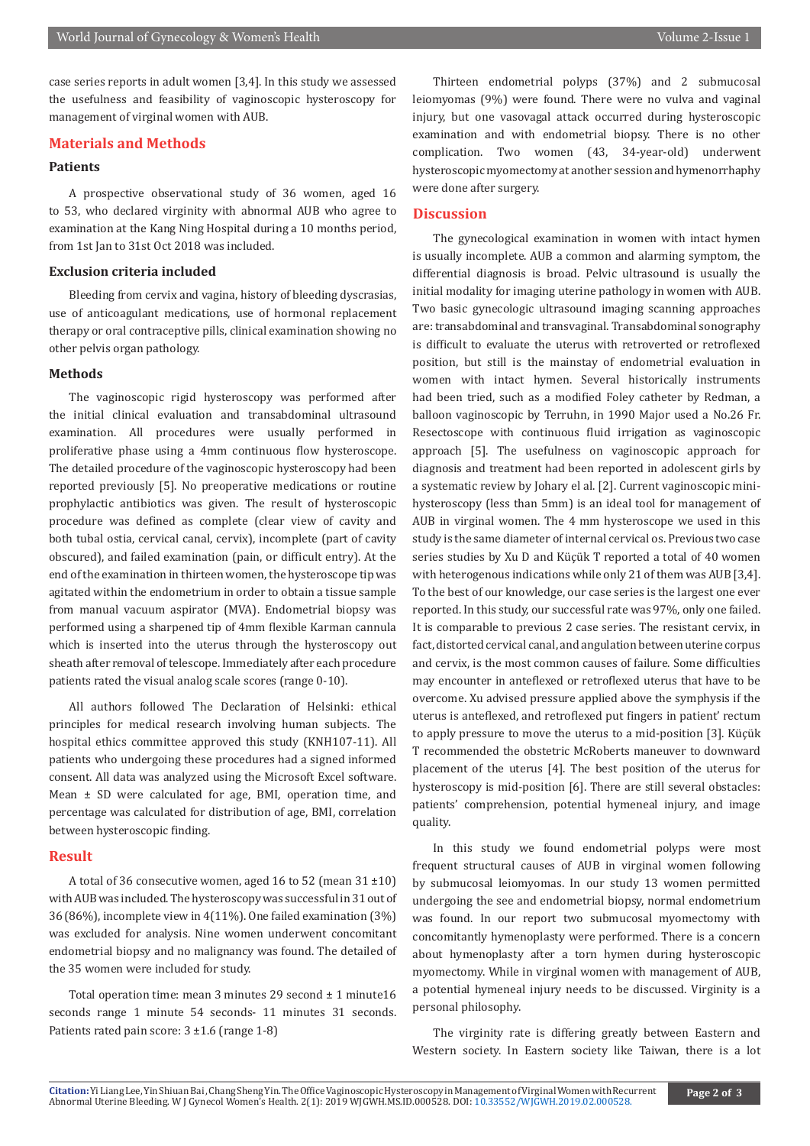case series reports in adult women [3,4]. In this study we assessed the usefulness and feasibility of vaginoscopic hysteroscopy for management of virginal women with AUB.

#### **Materials and Methods**

#### **Patients**

A prospective observational study of 36 women, aged 16 to 53, who declared virginity with abnormal AUB who agree to examination at the Kang Ning Hospital during a 10 months period, from 1st Jan to 31st Oct 2018 was included.

#### **Exclusion criteria included**

Bleeding from cervix and vagina, history of bleeding dyscrasias, use of anticoagulant medications, use of hormonal replacement therapy or oral contraceptive pills, clinical examination showing no other pelvis organ pathology.

#### **Methods**

The vaginoscopic rigid hysteroscopy was performed after the initial clinical evaluation and transabdominal ultrasound examination. All procedures were usually performed in proliferative phase using a 4mm continuous flow hysteroscope. The detailed procedure of the vaginoscopic hysteroscopy had been reported previously [5]. No preoperative medications or routine prophylactic antibiotics was given. The result of hysteroscopic procedure was defined as complete (clear view of cavity and both tubal ostia, cervical canal, cervix), incomplete (part of cavity obscured), and failed examination (pain, or difficult entry). At the end of the examination in thirteen women, the hysteroscope tip was agitated within the endometrium in order to obtain a tissue sample from manual vacuum aspirator (MVA). Endometrial biopsy was performed using a sharpened tip of 4mm flexible Karman cannula which is inserted into the uterus through the hysteroscopy out sheath after removal of telescope. Immediately after each procedure patients rated the visual analog scale scores (range 0-10).

All authors followed The Declaration of Helsinki: ethical principles for medical research involving human subjects. The hospital ethics committee approved this study (KNH107-11). All patients who undergoing these procedures had a signed informed consent. All data was analyzed using the Microsoft Excel software. Mean  $\pm$  SD were calculated for age, BMI, operation time, and percentage was calculated for distribution of age, BMI, correlation between hysteroscopic finding.

#### **Result**

A total of 36 consecutive women, aged 16 to 52 (mean  $31 \pm 10$ ) with AUB was included. The hysteroscopy was successful in 31 out of 36 (86%), incomplete view in 4(11%). One failed examination (3%) was excluded for analysis. Nine women underwent concomitant endometrial biopsy and no malignancy was found. The detailed of the 35 women were included for study.

Total operation time: mean 3 minutes 29 second ± 1 minute16 seconds range 1 minute 54 seconds- 11 minutes 31 seconds. Patients rated pain score:  $3 \pm 1.6$  (range 1-8)

Thirteen endometrial polyps (37%) and 2 submucosal leiomyomas (9%) were found. There were no vulva and vaginal injury, but one vasovagal attack occurred during hysteroscopic examination and with endometrial biopsy. There is no other complication. Two women (43, 34-year-old) underwent hysteroscopic myomectomy at another session and hymenorrhaphy were done after surgery.

#### **Discussion**

The gynecological examination in women with intact hymen is usually incomplete. AUB a common and alarming symptom, the differential diagnosis is broad. Pelvic ultrasound is usually the initial modality for imaging uterine pathology in women with AUB. Two basic gynecologic ultrasound imaging scanning approaches are: transabdominal and transvaginal. Transabdominal sonography is difficult to evaluate the uterus with retroverted or retroflexed position, but still is the mainstay of endometrial evaluation in women with intact hymen. Several historically instruments had been tried, such as a modified Foley catheter by Redman, a balloon vaginoscopic by Terruhn, in 1990 Major used a No.26 Fr. Resectoscope with continuous fluid irrigation as vaginoscopic approach [5]. The usefulness on vaginoscopic approach for diagnosis and treatment had been reported in adolescent girls by a systematic review by Johary el al. [2]. Current vaginoscopic minihysteroscopy (less than 5mm) is an ideal tool for management of AUB in virginal women. The 4 mm hysteroscope we used in this study is the same diameter of internal cervical os. Previous two case series studies by Xu D and Küçük T reported a total of 40 women with heterogenous indications while only 21 of them was AUB [3,4]. To the best of our knowledge, our case series is the largest one ever reported. In this study, our successful rate was 97%, only one failed. It is comparable to previous 2 case series. The resistant cervix, in fact, distorted cervical canal, and angulation between uterine corpus and cervix, is the most common causes of failure. Some difficulties may encounter in anteflexed or retroflexed uterus that have to be overcome. Xu advised pressure applied above the symphysis if the uterus is anteflexed, and retroflexed put fingers in patient' rectum to apply pressure to move the uterus to a mid-position [3]. Küçük T recommended the obstetric McRoberts maneuver to downward placement of the uterus [4]. The best position of the uterus for hysteroscopy is mid-position [6]. There are still several obstacles: patients' comprehension, potential hymeneal injury, and image quality.

In this study we found endometrial polyps were most frequent structural causes of AUB in virginal women following by submucosal leiomyomas. In our study 13 women permitted undergoing the see and endometrial biopsy, normal endometrium was found. In our report two submucosal myomectomy with concomitantly hymenoplasty were performed. There is a concern about hymenoplasty after a torn hymen during hysteroscopic myomectomy. While in virginal women with management of AUB, a potential hymeneal injury needs to be discussed. Virginity is a personal philosophy.

The virginity rate is differing greatly between Eastern and Western society. In Eastern society like Taiwan, there is a lot